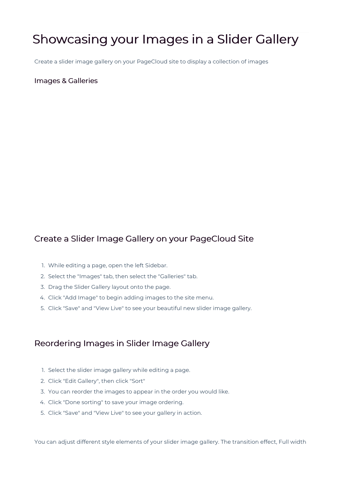# Showcasing your Images in a Slider Gallery

Create a slider image gallery on your PageCloud site to display a collection of images

#### Images & Galleries

### Create a Slider Image Gallery on your PageCloud Site

- 1. While editing a page, open the left Sidebar.
- 2. Select the "Images" tab, then select the "Galleries" tab.
- 3. Drag the Slider Gallery layout onto the page.
- 4. Click "Add Image" to begin adding images to the site menu.
- 5. Click "Save" and "View Live" to see your beautiful new slider image gallery.

#### Reordering Images in Slider Image Gallery

- 1. Select the slider image gallery while editing a page.
- 2. Click "Edit Gallery", then click "Sort"
- 3. You can reorder the images to appear in the order you would like.
- 4. Click "Done sorting" to save your image ordering.
- 5. Click "Save" and "View Live" to see your gallery in action.

You can adjust different style elements of your slider image gallery. The transition effect, Full width